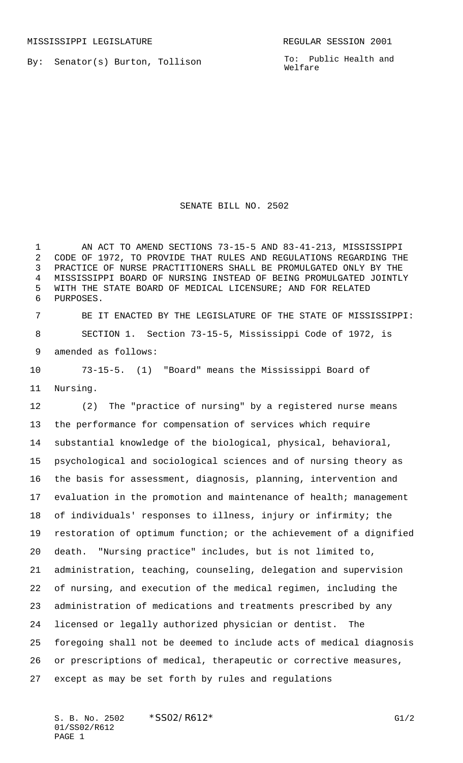By: Senator(s) Burton, Tollison

To: Public Health and Welfare

## SENATE BILL NO. 2502

 AN ACT TO AMEND SECTIONS 73-15-5 AND 83-41-213, MISSISSIPPI CODE OF 1972, TO PROVIDE THAT RULES AND REGULATIONS REGARDING THE PRACTICE OF NURSE PRACTITIONERS SHALL BE PROMULGATED ONLY BY THE MISSISSIPPI BOARD OF NURSING INSTEAD OF BEING PROMULGATED JOINTLY WITH THE STATE BOARD OF MEDICAL LICENSURE; AND FOR RELATED PURPOSES.

 BE IT ENACTED BY THE LEGISLATURE OF THE STATE OF MISSISSIPPI: SECTION 1. Section 73-15-5, Mississippi Code of 1972, is amended as follows:

 73-15-5. (1) "Board" means the Mississippi Board of Nursing.

 (2) The "practice of nursing" by a registered nurse means the performance for compensation of services which require substantial knowledge of the biological, physical, behavioral, psychological and sociological sciences and of nursing theory as the basis for assessment, diagnosis, planning, intervention and evaluation in the promotion and maintenance of health; management of individuals' responses to illness, injury or infirmity; the restoration of optimum function; or the achievement of a dignified death. "Nursing practice" includes, but is not limited to, administration, teaching, counseling, delegation and supervision of nursing, and execution of the medical regimen, including the administration of medications and treatments prescribed by any licensed or legally authorized physician or dentist. The foregoing shall not be deemed to include acts of medical diagnosis or prescriptions of medical, therapeutic or corrective measures, except as may be set forth by rules and regulations

S. B. No. 2502  $*$ SS02/R612\* G1/2 01/SS02/R612 PAGE 1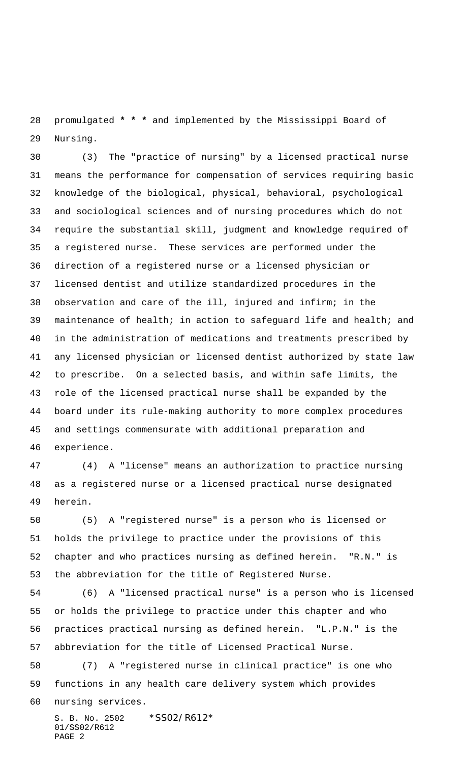promulgated **\* \* \*** and implemented by the Mississippi Board of Nursing.

 (3) The "practice of nursing" by a licensed practical nurse means the performance for compensation of services requiring basic knowledge of the biological, physical, behavioral, psychological and sociological sciences and of nursing procedures which do not require the substantial skill, judgment and knowledge required of a registered nurse. These services are performed under the direction of a registered nurse or a licensed physician or licensed dentist and utilize standardized procedures in the observation and care of the ill, injured and infirm; in the maintenance of health; in action to safeguard life and health; and in the administration of medications and treatments prescribed by any licensed physician or licensed dentist authorized by state law to prescribe. On a selected basis, and within safe limits, the role of the licensed practical nurse shall be expanded by the board under its rule-making authority to more complex procedures and settings commensurate with additional preparation and experience.

 (4) A "license" means an authorization to practice nursing as a registered nurse or a licensed practical nurse designated herein.

 (5) A "registered nurse" is a person who is licensed or holds the privilege to practice under the provisions of this chapter and who practices nursing as defined herein. "R.N." is the abbreviation for the title of Registered Nurse.

 (6) A "licensed practical nurse" is a person who is licensed or holds the privilege to practice under this chapter and who practices practical nursing as defined herein. "L.P.N." is the abbreviation for the title of Licensed Practical Nurse.

 (7) A "registered nurse in clinical practice" is one who functions in any health care delivery system which provides nursing services.

S. B. No. 2502 \*SS02/R612\* 01/SS02/R612 PAGE 2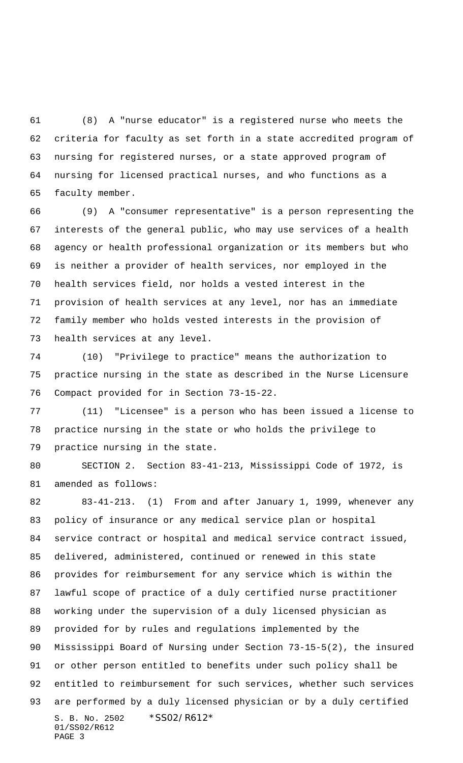(8) A "nurse educator" is a registered nurse who meets the criteria for faculty as set forth in a state accredited program of nursing for registered nurses, or a state approved program of nursing for licensed practical nurses, and who functions as a faculty member.

 (9) A "consumer representative" is a person representing the interests of the general public, who may use services of a health agency or health professional organization or its members but who is neither a provider of health services, nor employed in the health services field, nor holds a vested interest in the provision of health services at any level, nor has an immediate family member who holds vested interests in the provision of health services at any level.

 (10) "Privilege to practice" means the authorization to practice nursing in the state as described in the Nurse Licensure Compact provided for in Section 73-15-22.

 (11) "Licensee" is a person who has been issued a license to practice nursing in the state or who holds the privilege to practice nursing in the state.

 SECTION 2. Section 83-41-213, Mississippi Code of 1972, is amended as follows:

S. B. No. 2502 \*SS02/R612\* 01/SS02/R612 PAGE 3 83-41-213. (1) From and after January 1, 1999, whenever any policy of insurance or any medical service plan or hospital service contract or hospital and medical service contract issued, delivered, administered, continued or renewed in this state provides for reimbursement for any service which is within the lawful scope of practice of a duly certified nurse practitioner working under the supervision of a duly licensed physician as provided for by rules and regulations implemented by the Mississippi Board of Nursing under Section 73-15-5(2), the insured or other person entitled to benefits under such policy shall be entitled to reimbursement for such services, whether such services are performed by a duly licensed physician or by a duly certified